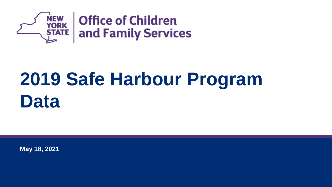

# **2019 Safe Harbour Program Data**

**May 18, 2021**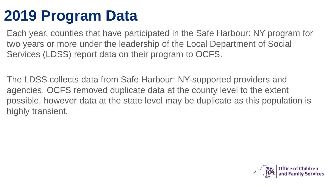#### **2019 Program Data**

Each year, counties that have participated in the Safe Harbour: NY program for two years or more under the leadership of the Local Department of Social Services (LDSS) report data on their program to OCFS.

The LDSS collects data from Safe Harbour: NY-supported providers and agencies. OCFS removed duplicate data at the county level to the extent possible, however data at the state level may be duplicate as this population is highly transient.

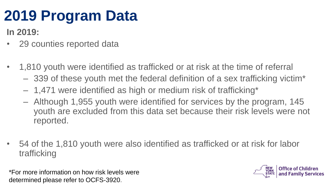#### **2019 Program Data**

**In 2019:**

- 29 counties reported data
- 1,810 youth were identified as trafficked or at risk at the time of referral
	- 339 of these youth met the federal definition of a sex trafficking victim\*
	- 1,471 were identified as high or medium risk of trafficking\*
	- Although 1,955 youth were identified for services by the program, 145 youth are excluded from this data set because their risk levels were not reported.
- 54 of the 1,810 youth were also identified as trafficked or at risk for labor trafficking

\*For more information on how risk levels were determined please refer to OCFS-3920.

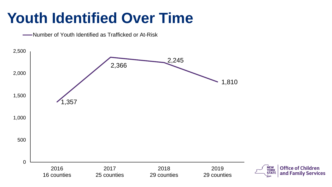#### **Youth Identified Over Time**

**WALK** -- Number of Youth Identified as Trafficked or At-Risk

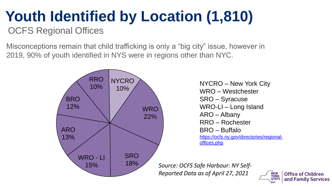# **Youth Identified by Location (1,810)**

OCFS Regional Offices

Misconceptions remain that child trafficking is only a "big city" issue, however in 2019, 90% of youth identified in NYS were in regions other than NYC.



NYCRO – New York City WRO – Westchester SRO – Syracuse WRO-LI – Long Island ARO – Albany RRO – Rochester BRO – Buffalo [https://ocfs.ny.gov/directories/regional](https://ocfs.ny.gov/directories/regional-offices.php)offices.php

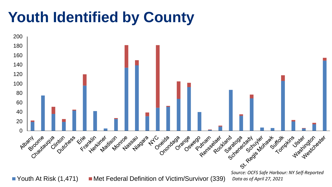#### **Youth Identified by County**

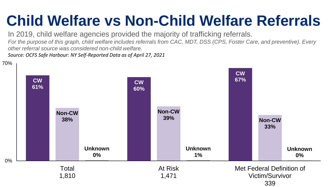#### **Child Welfare vs Non-Child Welfare Referrals**

In 2019, child welfare agencies provided the majority of trafficking referrals.

*For the purpose of this graph, child welfare includes referrals from CAC, MDT, DSS (CPS, Foster Care, and preventive). Every other referral source was considered non-child welfare.* 

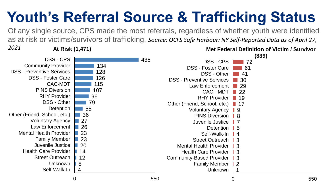## **Youth's Referral Source & Trafficking Status**

Of any single source, CPS made the most referrals, regardless of whether youth were identified as at risk or victims/survivors of trafficking. *Source: OCFS Safe Harbour: NY Self-Reported Data as of April 27,* 

**At Risk (1,471)** *2021* 

DSS - CPS



**Met Federal Definition of Victim / Survivor** 



126 128 134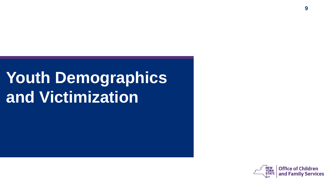## **Youth Demographics and Victimization**

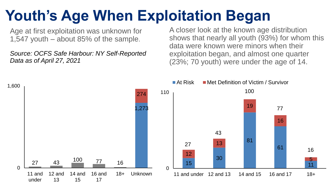### **Youth's Age When Exploitation Began**

Age at first exploitation was unknown for 1,547 youth – about 85% of the sample.

*Source: OCFS Safe Harbour: NY Self-Reported Data as of April 27, 2021* 

A closer look at the known age distribution shows that nearly all youth (93%) for whom this data were known were minors when their exploitation began, and almost one quarter (23%; 70 youth) were under the age of 14.

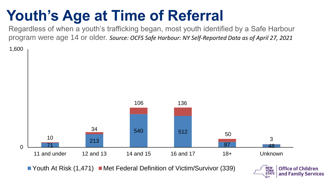#### **Youth's Age at Time of Referral**

Regardless of when a youth's trafficking began, most youth identified by a Safe Harbour program were age 14 or older. *Source: OCFS Safe Harbour: NY Self-Reported Data as of April 27, 2021* 

1,600



Youth At Risk  $(1,471)$  Met Federal Definition of Victim/Survivor (339)

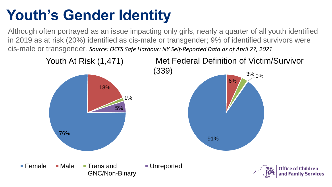### **Youth's Gender Identity**

Although often portrayed as an issue impacting only girls, nearly a quarter of all youth identified in 2019 as at risk (20%) identified as cis-male or transgender; 9% of identified survivors were cis-male or transgender. *Source: OCFS Safe Harbour: NY Self-Reported Data as of April 27, 2021*

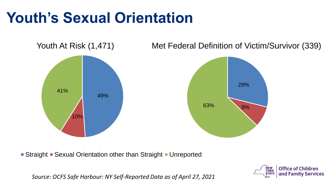#### **Youth's Sexual Orientation**



Youth At Risk (1,471) Met Federal Definition of Victim/Survivor (339)

Straight • Sexual Orientation other than Straight • Unreported

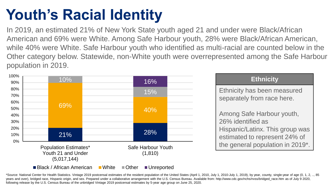### **Youth's Racial Identity**

In 2019, an estimated 21% of New York State youth aged 21 and under were Black/African American and 69% were White. Among Safe Harbour youth, 28% were Black/African American, while 40% were White. Safe Harbour youth who identified as multi-racial are counted below in the Other category below. Statewide, non-White youth were overrepresented among the Safe Harbour population in 2019.



\*Source: National Center for Health Statistics. Vintage 2019 postcensal estimates of the resident population of the United States (April 1, 2010, July 1, 2010-July 1, 2019), by year, county, single-year of age (0, 1, 2, .. years and over), bridged race, Hispanic origin, and sex. Prepared under a collaborative arrangement with the U.S. Census Bureau. Available from: http://www.cdc.gov/nchs/nvss/bridged\_race.htm as of July 9 2020, following release by the U.S. Census Bureau of the unbridged Vintage 2019 postcensal estimates by 5-year age group on June 25, 2020.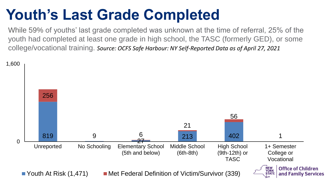#### **Youth's Last Grade Completed**

While 59% of youths' last grade completed was unknown at the time of referral, 25% of the youth had completed at least one grade in high school, the TASC (formerly GED), or some college/vocational training. *Source: OCFS Safe Harbour: NY Self-Reported Data as of April 27, 2021* 

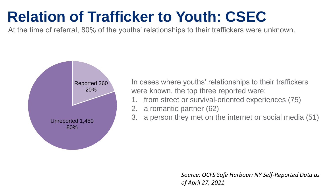#### **Relation of Trafficker to Youth: CSEC**

At the time of referral, 80% of the youths' relationships to their traffickers were unknown.



In cases where youths' relationships to their traffickers were known, the top three reported were:

- 1. from street or survival-oriented experiences (75)
- 2. a romantic partner (62)
- 3. a person they met on the internet or social media (51)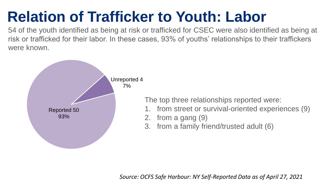### **Relation of Trafficker to Youth: Labor**

54 of the youth identified as being at risk or trafficked for CSEC were also identified as being at risk or trafficked for their labor. In these cases, 93% of youths' relationships to their traffickers were known.



The top three relationships reported were:

- 1. from street or survival-oriented experiences (9)
- 2. from a gang (9)
- 3. from a family friend/trusted adult (6)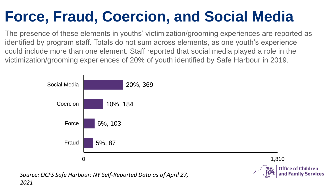### **Force, Fraud, Coercion, and Social Media**

The presence of these elements in youths' victimization/grooming experiences are reported as identified by program staff. Totals do not sum across elements, as one youth's experience could include more than one element. Staff reported that social media played a role in the victimization/grooming experiences of 20% of youth identified by Safe Harbour in 2019.

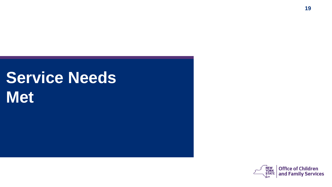## **Service Needs Met**

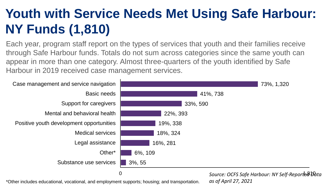#### **Youth with Service Needs Met Using Safe Harbour: NY Funds (1,810)**

Each year, program staff report on the types of services that youth and their families receive through Safe Harbour funds. Totals do not sum across categories since the same youth can appear in more than one category. Almost three-quarters of the youth identified by Safe Harbour in 2019 received case management services.



\*Other includes educational, vocational, and employment supports; housing; and transportation.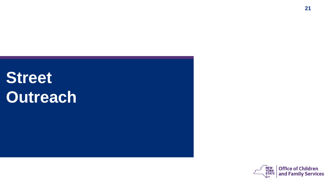## **Street Outreach**

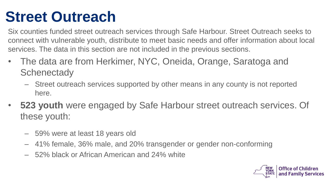#### **Street Outreach**

Six counties funded street outreach services through Safe Harbour. Street Outreach seeks to connect with vulnerable youth, distribute to meet basic needs and offer information about local services. The data in this section are not included in the previous sections.

- The data are from Herkimer, NYC, Oneida, Orange, Saratoga and **Schenectady** 
	- Street outreach services supported by other means in any county is not reported here.
- **523 youth** were engaged by Safe Harbour street outreach services. Of these youth:
	- 59% were at least 18 years old
	- 41% female, 36% male, and 20% transgender or gender non-conforming
	- 52% black or African American and 24% white

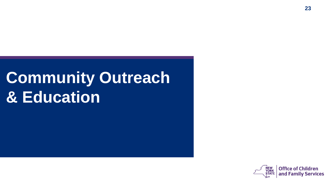## **Community Outreach & Education**

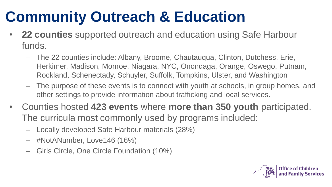#### **Community Outreach & Education**

- **22 counties** supported outreach and education using Safe Harbour funds.
	- The 22 counties include: Albany, Broome, Chautauqua, Clinton, Dutchess, Erie, Herkimer, Madison, Monroe, Niagara, NYC, Onondaga, Orange, Oswego, Putnam, Rockland, Schenectady, Schuyler, Suffolk, Tompkins, Ulster, and Washington
	- The purpose of these events is to connect with youth at schools, in group homes, and other settings to provide information about trafficking and local services.
- Counties hosted **423 events** where **more than 350 youth** participated. The curricula most commonly used by programs included:
	- Locally developed Safe Harbour materials (28%)
	- #NotANumber, Love146 (16%)
	- Girls Circle, One Circle Foundation (10%)